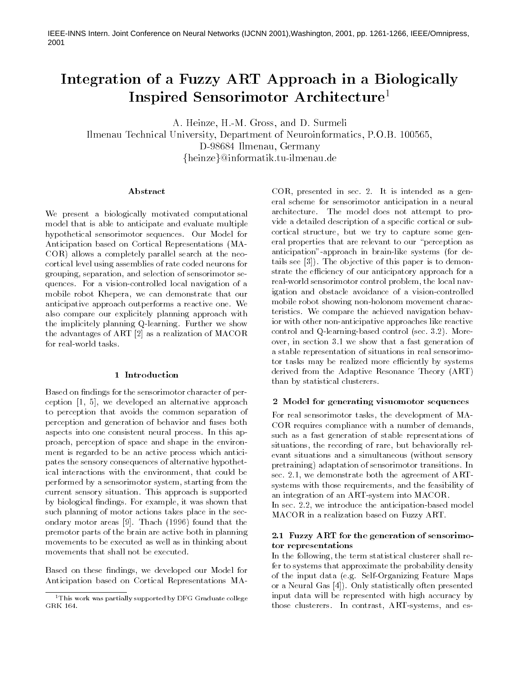IEEE-INNS Intern. Joint Conference on Neural Networks (IJCNN 2001), Washington, 2001, pp. 1261-1266, IEEE/Omnipress, 2001

# Integration of a Fuzzy ART Approach in a Biologically Inspired Sensorimotor Architecture<sup>1</sup>

A. Heinze, H.-M. Gross, and D. Surmeli

Ilmenau Technical University, Department of Neuroinformatics, P.O.B. 100565, D-98684 Ilmenau. Germany {heinze}@informatik.tu-ilmenau.de

#### Abstract

We present a biologically motivated computational model that is able to anticipate and evaluate multiple hypothetical sensorimotor sequences. Our Model for Anticipation based on Cortical Representations (MA-COR) allows a completely parallel search at the neocortical level using assemblies of rate coded neurons for grouping, separation, and selection of sensorimotor sequences. For a vision-controlled local navigation of a mobile robot Khepera, we can demonstrate that our anticipative approach outperforms a reactive one. We also compare our explicitely planning approach with the implicitely planning Q-learning. Further we show the advantages of ART [2] as a realization of MACOR for real-world tasks.

#### 1 Introduction

Based on findings for the sensorimotor character of perception [1, 5], we developed an alternative approach to perception that avoids the common separation of perception and generation of behavior and fuses both aspects into one consistent neural process. In this approach, perception of space and shape in the environment is regarded to be an active process which anticipates the sensory consequences of alternative hypothetical interactions with the environment, that could be performed by a sensorimotor system, starting from the current sensory situation. This approach is supported by biological findings. For example, it was shown that such planning of motor actions takes place in the secondary motor areas [9]. Thach (1996) found that the premotor parts of the brain are active both in planning movements to be executed as well as in thinking about movements that shall not be executed.

Based on these findings, we developed our Model for Anticipation based on Cortical Representations MA- COR, presented in sec. 2. It is intended as a general scheme for sensorimotor anticipation in a neural architecture. The model does not attempt to provide a detailed description of a specific cortical or subcortical structure, but we try to capture some general properties that are relevant to our "perception as anticipation"-approach in brain-like systems (for details see [3]). The objective of this paper is to demonstrate the efficiency of our anticipatory approach for a real-world sensorimotor control problem, the local navigation and obstacle avoidance of a vision-controlled mobile robot showing non-holonom movement characteristics. We compare the achieved navigation behavior with other non-anticipative approaches like reactive control and Q-learning-based control (sec. 3.2). Moreover, in section 3.1 we show that a fast generation of a stable representation of situations in real sensorimotor tasks may be realized more efficiently by systems derived from the Adaptive Resonance Theory (ART) than by statistical clusterers.

### 2 Model for generating visuomotor sequences

For real sensorimotor tasks, the development of MA-COR requires compliance with a number of demands, such as a fast generation of stable representations of situations, the recording of rare, but behaviorally relevant situations and a simultaneous (without sensory pretraining) adaptation of sensorimotor transitions. In sec. 2.1, we demonstrate both the agreement of ARTsystems with those requirements, and the feasibility of an integration of an ART-system into MACOR. In sec. 2.2, we introduce the anticipation-based model

MACOR in a realization based on Fuzzy ART.

## 2.1 Fuzzy ART for the generation of sensorimotor representations

In the following, the term statistical clusterer shall refer to systems that approximate the probability density of the input data (e.g. Self-Organizing Feature Maps or a Neural Gas [4]). Only statistically often presented input data will be represented with high accuracy by those clusterers. In contrast, ART-systems, and es-

<sup>&</sup>lt;sup>1</sup>This work was partially supported by DFG Graduate college GRK 164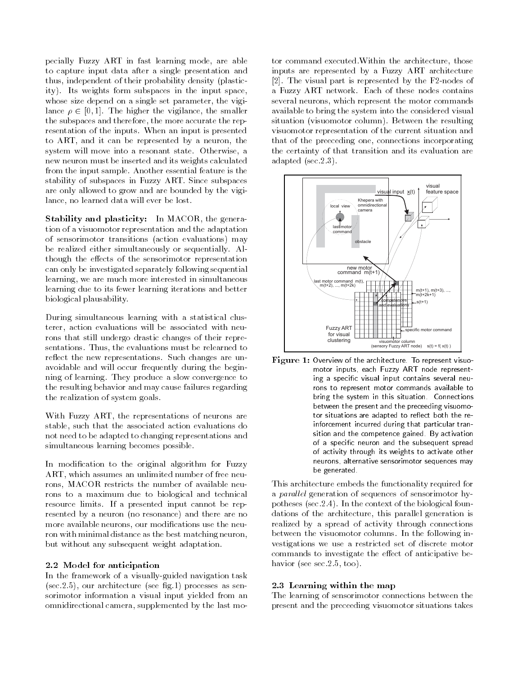pecially Fuzzy ART in fast learning mode, are able to capture input data after a single presentation and thus, independent of their probability density (plasticity). Its weights form subspaces in the input space, whose size depend on a single set parameter, the vigilance  $\rho \in [0, 1]$ . The higher the vigilance, the smaller the subspaces and therefore, the more accurate the representation of the inputs. When an input is presented to ART, and it can be represented by a neuron, the system will move into a resonant state. Otherwise, a new neuron must be inserted and its weights calculated from the input sample. Another essential feature is the stability of subspaces in Fuzzy ART. Since subspaces are only allowed to grow and are bounded by the vigilance, no learned data will ever be lost.

Stability and plasticity: In MACOR, the generation of a visuomotor representation and the adaptation of sensorimotor transitions (action evaluations) may be realized either simultaneously or sequentially. Although the effects of the sensorimotor representation can only be investigated separately following sequential learning, we are much more interested in simultaneous learning due to its fewer learning iterations and better biological plausability.

During simultaneous learning with a statistical clusterer, action evaluations will be associated with neurons that still undergo drastic changes of their representations. Thus, the evaluations must be relearned to reflect the new representations. Such changes are unavoidable and will occur frequently during the beginning of learning. They produce a slow convergence to the resulting behavior and may cause failures regarding the realization of system goals.

With Fuzzy ART, the representations of neurons are stable, such that the associated action evaluations do not need to be adapted to changing representations and simultaneous learning becomes possible.

In modification to the original algorithm for Fuzzy ART, which assumes an unlimited number of free neurons, MACOR restricts the number of available neurons to a maximum due to biological and technical resource limits. If a presented input cannot be represented by a neuron (no resonance) and there are no more available neurons, our modifications use the neuron with minimal distance as the best matching neuron, but without any subsequent weight adaptation.

## 2.2 Model for anticipation

In the framework of a visually-guided navigation task  $(\sec 2.5)$ , our architecture (see fig.1) processes as sensorimotor information a visual input yielded from an omnidirectional camera, supplemented by the last motor command executed. Within the architecture, those inputs are represented by a Fuzzy ART architecture [2]. The visual part is represented by the F2-nodes of a Fuzzy ART network. Each of these nodes contains several neurons, which represent the motor commands available to bring the system into the considered visual situation (visuomotor column). Between the resulting visuomotor representation of the current situation and that of the preeceding one, connections incorporating the certainty of that transition and its evaluation are adapted  $(\sec 2.3)$ .



Figure 1: Overview of the architecture. To represent visuomotor inputs, each Fuzzy ART node representing a specific visual input contains several neurons to represent motor commands available to bring the system in this situation. Connections between the present and the preceeding visuomotor situations are adapted to reflect both the reinforcement incurred during that particular transition and the competence gained. By activation of a specific neuron and the subsequent spread of activity through its weights to activate other neurons, alternative sensorimotor sequences may be generated.

This architecture embeds the functionality required for a *parallel* generation of sequences of sensorimotor hypotheses (sec. 2.4). In the context of the biological foundations of the architecture, this parallel generation is realized by a spread of activity through connections between the visuomotor columns. In the following investigations we use a restricted set of discrete motor commands to investigate the effect of anticipative behavior (see sec.  $2.5$ , too).

## 2.3 Learning within the map

The learning of sensorimotor connections between the present and the preceeding visuomotor situations takes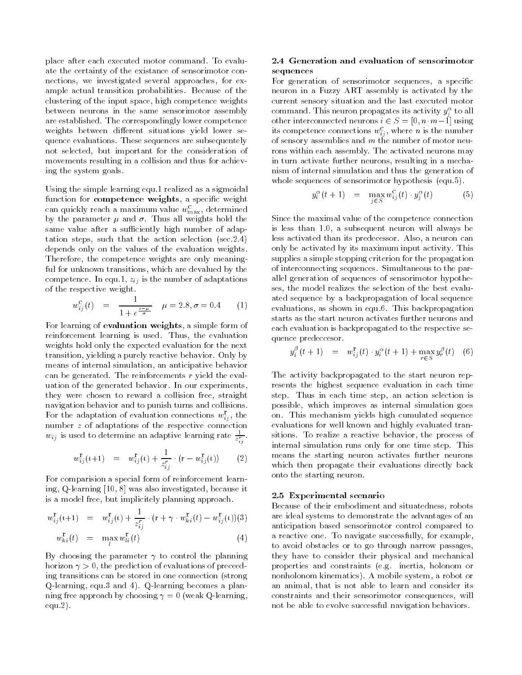place after each executed motor command. To evaluate the certainty of the existance of sensorimotor connections, we investigated several approaches, for example actual transition probabilities. Because of the clustering of the input space, high competence weights between neurons in the same sensorimotor assembly are established. The correspondingly lower competence weights between different situations yield lower sequence evaluations. These sequences are subsequentely not selected, but important for the consideration of movements resulting in a collision and thus for achieving the system goals.

Using the simple learning equ.1 realized as a sigmoidal function for competence weights, a specific weight can quickly reach a maximum value  $w_{\text{max}}^{\text{c}}$ , determined by the parameter  $\mu$  and  $\sigma$ . Thus all weights hold the same value after a sufficiently high number of adaptation steps, such that the action selection (sec. 2.4) depends only on the values of the evaluation weights. Therefore, the competence weights are only meaningful for unknown transitions, which are devalued by the competence. In equ.1,  $z_{ij}$  is the number of adaptations of the respective weight.

$$
w_{ij}^{\text{c}}(t) = \frac{1}{1 + e^{\frac{z - \mu}{\sigma}}} \quad \mu = 2.8, \sigma = 0.4 \quad (1)
$$

For learning of evaluation weights, a simple form of reinforcement learning is used. Thus, the evaluation weights hold only the expected evaluation for the next transition, yielding a purely reactive behavior. Only by means of internal simulation, an anticipative behavior can be generated. The reinforcements  $r$  yield the evaluation of the generated behavior. In our experiments, they were chosen to reward a collision free, straight navigation behavior and to punish turns and collisions. For the adaptation of evaluation connections  $w_{ij}^{\mathbf{r}}$ , the number  $z$  of adaptations of the respective connection  $w_{ij}$  is used to determine an adaptive learning rate  $\frac{1}{z^{r}}$ .

$$
w_{ij}^{\mathbf{r}}(t+1) = w_{ij}^{\mathbf{r}}(t) + \frac{1}{z_{ij}^r} \cdot (\mathbf{r} - w_{ij}^{\mathbf{r}}(t))
$$
 (2)

For comparision a special form of reinforcement learning, Q-learning [10, 8] was also investigated, because it is a model free, but implicitely planning approach.

$$
w_{ij}^{\mathbf{r}}(t+1) = w_{ij}^{\mathbf{r}}(t) + \frac{1}{z_{ij}^{\mathbf{r}}} \cdot (\mathbf{r} + \gamma \cdot w_{ki}^{\mathbf{r}}(t) - w_{ij}^{\mathbf{r}}(t))(3)
$$
  

$$
w_{ki}^{\mathbf{r}}(t) = \max_{l} w_{li}^{\mathbf{r}}(t)
$$
 (4)

By choosing the parameter  $\gamma$  to control the planning horizon  $\gamma > 0$ , the prediction of evaluations of preceeding transitions can be stored in one connection (strong Q-learning, equ.3 and 4). Q-learning becomes a planning free approach by choosing  $\gamma = 0$  (weak Q-learning,  $equ.2$ ).

## 2.4 Generation and evaluation of sensorimotor sequences

For generation of sensorimotor sequences, a specific neuron in a Fuzzy ART assembly is activated by the current sensory situation and the last executed motor command. This neuron propagates its activity  $y_i^{\alpha}$  to all other interconnected neurons  $i \in S = [0, n \cdot m - 1]$  using its competence connections  $w_{ij}^{\rm c}$ , where *n* is the number of sensory assemblies and  $m$  the number of motor neurons within each assembly. The activated neurons may in turn activate further neurons, resulting in a mechanism of internal simulation and thus the generation of whole sequences of sensorimotor hypothesis (equ.5).

$$
y_i^{\alpha}(t+1) = \max_{j \in S} w_{ij}^{\mathcal{C}}(t) \cdot y_j^{\alpha}(t) \tag{5}
$$

Since the maximal value of the competence connection is less than 1.0, a subsequent neuron will always be less activated than its predecessor. Also, a neuron can only be activated by its maximum input activity. This supplies a simple stopping criterion for the propagation of interconnecting sequences. Simultaneous to the parallel generation of sequences of sensorimotor hypotheses, the model realizes the selection of the best evaluated sequence by a backpropagation of local sequence evaluations, as shown in equ.6. This backpropagation starts as the start neuron activates further neurons and each evaluation is backpropagated to the respective sequence predeccesor.

$$
y_i^{\beta}(t+1) = w_{ij}^{\Gamma}(t) \cdot y_i^{\alpha}(t+1) + \max_{r \in S} y_r^{\beta}(t) \quad (6)
$$

The activity backpropagated to the start neuron represents the highest sequence evaluation in each time step. Thus in each time step, an action selection is possible, which improves as internal simulation goes on. This mechanism yields high cumulated sequence evaluations for well known and highly evaluated transitions. To realize a reactive behavior, the process of internal simulation runs only for one time step. This means the starting neuron activates further neurons which then propagate their evaluations directly back onto the starting neuron.

### 2.5 Experimental scenario

Because of their embodiment and situatedness, robots are ideal systems to demonstrate the advantages of an anticipation based sensorimotor control compared to a reactive one. To navigate successfully, for example, to avoid obstacles or to go through narrow passages, they have to consider their physical and mechanical properties and constraints (e.g. inertia, holonom or nonholonom kinematics). A mobile system, a robot or an animal, that is not able to learn and consider its constraints and their sensorimotor consequences, will not be able to evolve successful navigation behaviors.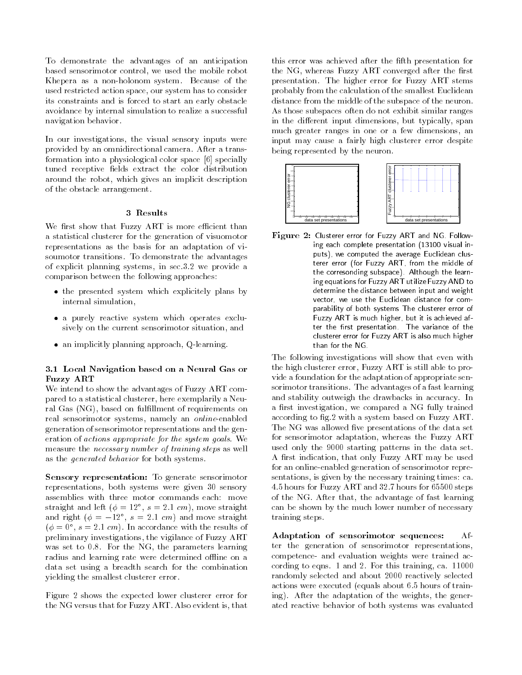To demonstrate the advantages of an anticipation based sensorimotor control, we used the mobile robot Khepera as a non-holonom system. Because of the used restricted action space, our system has to consider its constraints and is forced to start an early obstacle avoidance by internal simulation to realize a successful navigation behavior.

In our investigations, the visual sensory inputs were provided by an omnidirectional camera. After a transformation into a physiological color space [6] specially tuned receptive fields extract the color distribution around the robot, which gives an implicit description of the obstacle arrangement.

## 3 Results

We first show that Fuzzy ART is more efficient than a statistical clusterer for the generation of visuomotor representations as the basis for an adaptation of visoumotor transitions. To demonstrate the advantages of explicit planning systems, in sec.3.2 we provide a comparison between the following approaches:

- the presented system which explicitely plans by internal simulation,
- · a purely reactive system which operates exclusively on the current sensorimotor situation, and
- an implicitly planning approach, Q-learning.

## 3.1 Local Navigation based on a Neural Gas or **Fuzzy ART**

We intend to show the advantages of Fuzzy ART compared to a statistical clusterer, here exemplarily a Neural Gas (NG), based on fulfillment of requirements on real sensorimotor systems, namely an online-enabled generation of sensorimotor representations and the generation of *actions appropriate for the system goals*. We measure the *necessary* number of training steps as well as the *generated behavior* for both systems.

Sensory representation: To generate sensorimotor representations, both systems were given 30 sensory assemblies with three motor commands each: move straight and left ( $\phi = 12^{\circ}$ ,  $s = 2.1$  cm), move straight and right ( $\phi = -12^{\circ}$ ,  $s = 2.1$  cm) and move straight  $(\phi = 0^{\circ}, s = 2.1 \text{ cm})$ . In accordance with the results of preliminary investigations, the vigilance of Fuzzy ART was set to 0.8. For the NG, the parameters learning radius and learning rate were determined offline on a data set using a breadth search for the combination yielding the smallest clusterer error.

Figure 2 shows the expected lower clusterer error for the NG versus that for Fuzzy ART. Also evident is, that

this error was achieved after the fifth presentation for the NG, whereas Fuzzy ART converged after the first presentation. The higher error for Fuzzy ART stems probably from the calculation of the smallest Euclidean distance from the middle of the subspace of the neuron. As those subspaces often do not exhibit similar ranges in the different input dimensions, but typically, span much greater ranges in one or a few dimensions, an input may cause a fairly high clusterer error despite being represented by the neuron.



Figure 2: Clusterer error for Fuzzy ART and NG Following each complete presentation (13100 visual inputs), we computed the average Euclidean clusterer error (for Fuzzy ART, from the middle of the corresonding subspace). Although the learning equations for Fuzzy ART utilize Fuzzy AND to determine the distance between input and weight vector, we use the Euclidean distance for comparability of both systems The clusterer error of Fuzzy ART is much higher, but it is achieved after the first presentation. The variance of the clusterer error for Fuzzy ART is also much higher than for the NG.

The following investigations will show that even with the high clusterer error, Fuzzy ART is still able to provide a foundation for the adaptation of appropriate sensorimotor transitions. The advantages of a fast learning and stability outweigh the drawbacks in accuracy. In a first investigation, we compared a NG fully trained according to fig.2 with a system based on Fuzzy ART. The NG was allowed five presentations of the data set for sensorimotor adaptation, whereas the Fuzzy ART used only the 9000 starting patterns in the data set. A first indication, that only Fuzzy ART may be used for an online-enabled generation of sensorimotor representations, is given by the necessary training times: ca. 4.5 hours for Fuzzy ART and 32.7 hours for 65500 steps of the NG. After that, the advantage of fast learning can be shown by the much lower number of necessary training steps.

Adaptation of sensorimotor sequences:  $Af$ ter the generation of sensorimotor representations, competence- and evaluation weights were trained according to eqns. 1 and 2. For this training, ca. 11000 randomly selected and about 2000 reactively selected actions were executed (equals about 6.5 hours of training). After the adaptation of the weights, the generated reactive behavior of both systems was evaluated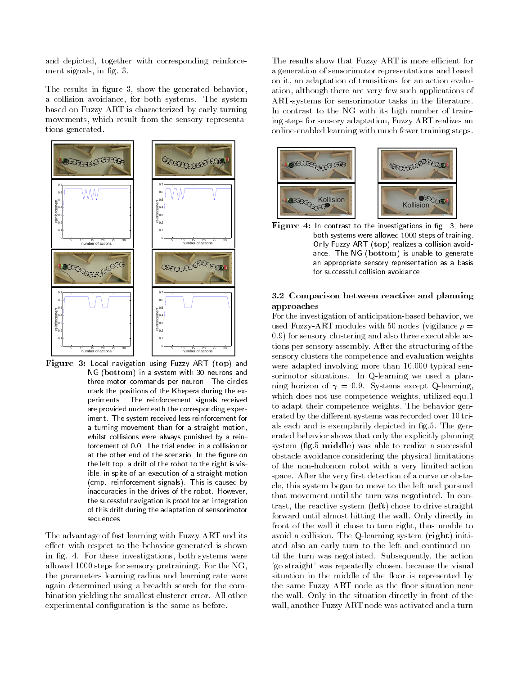and depicted, together with corresponding reinforcement signals, in fig. 3.

The results in figure 3, show the generated behavior, a collision avoidance, for both systems. The system based on Fuzzy ART is characterized by early turning movements, which result from the sensory representations generated.



 $\mathbf{Figure}$   $3:$  Local navigation using Fuzzy ART (top) and NG (bottom) in a system with 30 neurons and three motor commands per neuron. The circles mark the positions of the Khepera during the experiments. The reinforcement signals received are provided underneath the corresponding experiment. The system received less reinforcement for a turning movement than for a straight motion, whilst collisions were always punished by a reinforcement of 0.0. The trial ended in a collision or at the other end of the scenario. In the figure on the left top, a drift of the robot to the right is visible, in spite of an execution of a straight motion (cmp. reinforcement signals). This is caused by inaccuracies in the drives of the robot. However, the sucessful navigation is proof for an integration of this drift during the adaptation of sensorimotor sequences.

The advantage of fast learning with Fuzzy ART and its effect with respect to the behavior generated is shown in fig. 4. For these investigations, both systems were allowed 1000 steps for sensory pretraining. For the NG, the parameters learning radius and learning rate were again determined using a breadth search for the combination yielding the smallest clusterer error. All other experimental configuration is the same as before.

The results show that Fuzzy ART is more efficient for a generation of sensorimotor representations and based on it, an adaptation of transitions for an action evaluation, although there are very few such applications of ART-systems for sensorimotor tasks in the literature. In contrast to the NG with its high number of training steps for sensory adaptation, Fuzzy ART realizes an online-enabled learning with much fewer training steps.



Figure 4: In contrast to the investigations in fig. 3, here both systems were allowed 1000 steps of training. Only Fuzzy ART (top) realizes a collision avoidance. The NG (bottom) is unable to generate an appropriate sensory representation as a basis for successful collision avoidance.

## 3.2 Comparison between reactive and planning approaches

For the investigation of anticipation-based behavior, we used Fuzzy-ART modules with 50 nodes (vigilance  $\rho =$ 0.9) for sensory clustering and also three executable actions per sensory assembly. After the structuring of the sensory clusters the competence and evaluation weights were adapted involving more than 10.000 typical sensorimotor situations. In Q-learning we used a planning horizon of  $\gamma = 0.9$ . Systems except Q-learning, which does not use competence weights, utilized equ.1 to adapt their competence weights. The behavior generated by the different systems was recorded over 10 trials each and is exemplarily depicted in fig.5. The generated behavior shows that only the explicitly planning system (fig.5 middle) was able to realize a successful obstacle avoidance considering the physical limitations of the non-holonom robot with a very limited action space. After the very first detection of a curve or obstacle, this system began to move to the left and pursued that movement until the turn was negotiated. In contrast, the reactive system (left) chose to drive straight forward until almost hitting the wall. Only directly in front of the wall it chose to turn right, thus unable to avoid a collision. The Q-learning system (right) initiated also an early turn to the left and continued until the turn was negotiated. Subsequently, the action 'go straight' was repeatedly chosen, because the visual situation in the middle of the floor is represented by the same Fuzzy ART node as the floor situation near the wall. Only in the situation directly in front of the wall, another Fuzzy ART node was activated and a turn